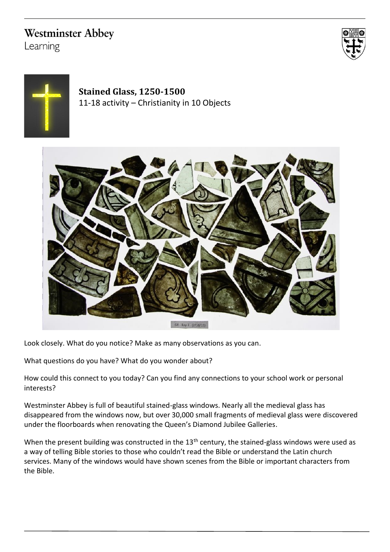# **Westminster Abbey**

Learning





## **Stained Glass, 1250-1500** 11-18 activity – Christianity in 10 Objects



Look closely. What do you notice? Make as many observations as you can.

What questions do you have? What do you wonder about?

How could this connect to you today? Can you find any connections to your school work or personal interests?

Westminster Abbey is full of beautiful stained-glass windows. Nearly all the medieval glass has disappeared from the windows now, but over 30,000 small fragments of medieval glass were discovered under the floorboards when renovating the Queen's Diamond Jubilee Galleries.

When the present building was constructed in the 13<sup>th</sup> century, the stained-glass windows were used as a way of telling Bible stories to those who couldn't read the Bible or understand the Latin church services. Many of the windows would have shown scenes from the Bible or important characters from the Bible.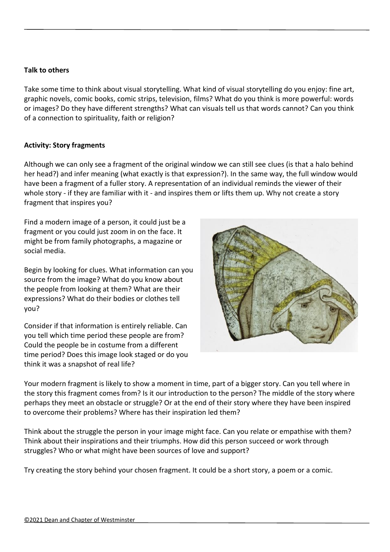### **Talk to others**

Take some time to think about visual storytelling. What kind of visual storytelling do you enjoy: fine art, graphic novels, comic books, comic strips, television, films? What do you think is more powerful: words or images? Do they have different strengths? What can visuals tell us that words cannot? Can you think of a connection to spirituality, faith or religion?

### **Activity: Story fragments**

Although we can only see a fragment of the original window we can still see clues (is that a halo behind her head?) and infer meaning (what exactly is that expression?). In the same way, the full window would have been a fragment of a fuller story. A representation of an individual reminds the viewer of their whole story - if they are familiar with it - and inspires them or lifts them up. Why not create a story fragment that inspires you?

Find a modern image of a person, it could just be a fragment or you could just zoom in on the face. It might be from family photographs, a magazine or social media.

Begin by looking for clues. What information can you source from the image? What do you know about the people from looking at them? What are their expressions? What do their bodies or clothes tell you?

Consider if that information is entirely reliable. Can you tell which time period these people are from? Could the people be in costume from a different time period? Does this image look staged or do you think it was a snapshot of real life?



Your modern fragment is likely to show a moment in time, part of a bigger story. Can you tell where in the story this fragment comes from? Is it our introduction to the person? The middle of the story where perhaps they meet an obstacle or struggle? Or at the end of their story where they have been inspired to overcome their problems? Where has their inspiration led them?

Think about the struggle the person in your image might face. Can you relate or empathise with them? Think about their inspirations and their triumphs. How did this person succeed or work through struggles? Who or what might have been sources of love and support?

Try creating the story behind your chosen fragment. It could be a short story, a poem or a comic.